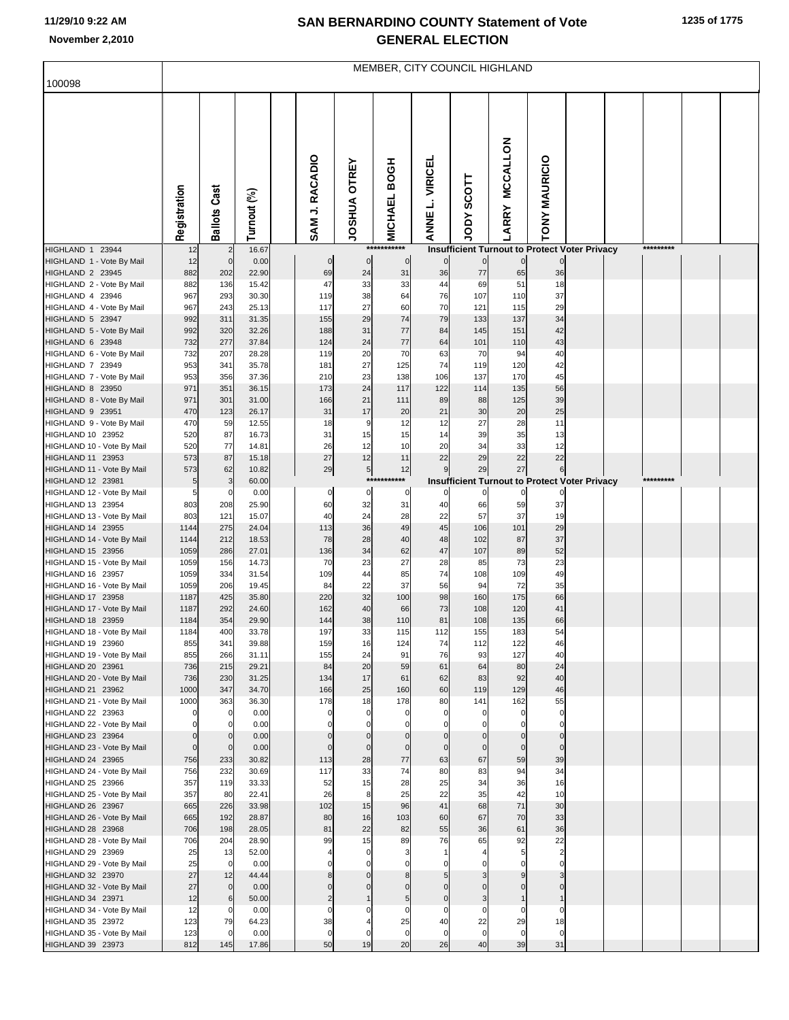## **SAN BERNARDINO COUNTY Statement of Vote November 2,2010 GENERAL ELECTION**

| 100098                                          | MEMBER, CITY COUNCIL HIGHLAND |                      |                |  |                   |                               |                               |                      |                                                      |                          |                      |  |           |  |
|-------------------------------------------------|-------------------------------|----------------------|----------------|--|-------------------|-------------------------------|-------------------------------|----------------------|------------------------------------------------------|--------------------------|----------------------|--|-----------|--|
|                                                 |                               |                      |                |  |                   |                               |                               |                      |                                                      |                          |                      |  |           |  |
|                                                 | Registration                  | <b>Ballots Cast</b>  | Turnout (%)    |  | SAM J. RACADIO    | <b>OTREY</b><br><b>AURSOL</b> | <b>BOGH</b><br><b>MICHAEL</b> | L. VIRICEL<br>ANNE I | <b>SCOTT</b><br><b>Ador</b>                          | <b>MCCALLON</b><br>LARRY | <b>TONY MAURICIO</b> |  |           |  |
| HIGHLAND 1 23944                                | 12                            | $\overline{c}$       | 16.67          |  |                   |                               | ***********                   |                      | <b>Insufficient Turnout to Protect Voter Privacy</b> |                          |                      |  | ********* |  |
| HIGHLAND 1 - Vote By Mail<br>HIGHLAND 2 23945   | 12<br>882                     | $\mathbf 0$<br>202   | 0.00<br>22.90  |  | $\mathbf 0$<br>69 | $\mathbf 0$<br>24             | $\mathbf 0$<br>31             | $\overline{0}$<br>36 | $\overline{0}$<br>$77 \,$                            | $\mathbf 0$<br>65        | 36                   |  |           |  |
| HIGHLAND 2 - Vote By Mail                       | 882                           | 136                  | 15.42          |  | 47                | 33                            | 33                            | 44                   | 69                                                   | 51                       | 18                   |  |           |  |
| HIGHLAND 4 23946                                | 967<br>967                    | 293<br>243           | 30.30<br>25.13 |  | 119<br>117        | 38<br>27                      | 64<br>60                      | 76<br>70             | 107<br>121                                           | 110                      | 37                   |  |           |  |
| HIGHLAND 4 - Vote By Mail<br>HIGHLAND 5 23947   | 992                           | 311                  | 31.35          |  | 155               | 29                            | 74                            | 79                   | 133                                                  | 115<br>137               | 29<br>34             |  |           |  |
| HIGHLAND 5 - Vote By Mail                       | 992                           | 320                  | 32.26          |  | 188               | 31                            | 77                            | 84                   | 145                                                  | 151                      | 42                   |  |           |  |
| HIGHLAND 6 23948                                | 732                           | 277                  | 37.84          |  | 124               | 24                            | 77                            | 64                   | 101                                                  | 110                      | 43                   |  |           |  |
| HIGHLAND 6 - Vote By Mail<br>HIGHLAND 7 23949   | 732<br>953                    | 207<br>341           | 28.28<br>35.78 |  | 119<br>181        | 20<br>27                      | 70<br>125                     | 63<br>74             | 70<br>119                                            | 94<br>120                | 40<br>42             |  |           |  |
| HIGHLAND 7 - Vote By Mail                       | 953                           | 356                  | 37.36          |  | 210               | 23                            | 138                           | 106                  | 137                                                  | 170                      | 45                   |  |           |  |
| HIGHLAND 8 23950                                | 971                           | 351                  | 36.15          |  | 173               | 24                            | 117                           | 122                  | 114                                                  | 135                      | 56                   |  |           |  |
| HIGHLAND 8 - Vote By Mail<br>HIGHLAND 9 23951   | 971<br>470                    | 301<br>123           | 31.00<br>26.17 |  | 166<br>31         | 21<br>17                      | 111<br>20                     | 89<br>21             | 88<br>30                                             | 125<br>20                | 39<br>25             |  |           |  |
| HIGHLAND 9 - Vote By Mail                       | 470                           | 59                   | 12.55          |  | 18                | 9                             | 12                            | 12                   | 27                                                   | 28                       | 11                   |  |           |  |
| HIGHLAND 10 23952                               | 520                           | 87                   | 16.73          |  | 31                | 15                            | 15                            | 14                   | 39                                                   | 35                       | 13                   |  |           |  |
| HIGHLAND 10 - Vote By Mail                      | 520                           | 77                   | 14.81          |  | 26                | 12                            | 10                            | 20                   | 34                                                   | 33                       | 12                   |  |           |  |
| HIGHLAND 11 23953<br>HIGHLAND 11 - Vote By Mail | 573<br>573                    | 87<br>62             | 15.18<br>10.82 |  | 27<br>29          | 12<br>$5\vert$                | 11<br>12                      | 22<br>9              | 29<br>29                                             | 22<br>27                 | 22<br>6              |  |           |  |
| HIGHLAND 12 23981                               | 5                             | 3                    | 60.00          |  |                   |                               | ***********                   |                      | <b>Insufficient Turnout to Protect Voter Privacy</b> |                          |                      |  | ********* |  |
| HIGHLAND 12 - Vote By Mail                      | 5                             | $\Omega$             | 0.00           |  | 0                 | 0                             | 0                             | 0                    | 0                                                    | 0                        |                      |  |           |  |
| HIGHLAND 13 23954                               | 803<br>803                    | 208<br>121           | 25.90<br>15.07 |  | 60<br>40          | 32<br>24                      | 31                            | 40                   | 66<br>57                                             | 59<br>37                 | 37<br>19             |  |           |  |
| HIGHLAND 13 - Vote By Mail<br>HIGHLAND 14 23955 | 1144                          | 275                  | 24.04          |  | 113               | 36                            | 28<br>49                      | 22<br>45             | 106                                                  | 101                      | 29                   |  |           |  |
| HIGHLAND 14 - Vote By Mail                      | 1144                          | 212                  | 18.53          |  | 78                | 28                            | 40                            | 48                   | 102                                                  | 87                       | 37                   |  |           |  |
| HIGHLAND 15 23956                               | 1059                          | 286                  | 27.01          |  | 136               | 34                            | 62                            | 47                   | 107                                                  | 89                       | 52                   |  |           |  |
| HIGHLAND 15 - Vote By Mail<br>HIGHLAND 16 23957 | 1059<br>1059                  | 156<br>334           | 14.73<br>31.54 |  | 70<br>109         | 23<br>44                      | 27<br>85                      | 28<br>74             | 85<br>108                                            | 73<br>109                | 23<br>49             |  |           |  |
| HIGHLAND 16 - Vote By Mail                      | 1059                          | 206                  | 19.45          |  | 84                | 22                            | 37                            | 56                   | 94                                                   | 72                       | 35                   |  |           |  |
| HIGHLAND 17 23958                               | 1187                          | 425                  | 35.80          |  | 220               | 32                            | 100                           | 98                   | 160                                                  | 175                      | 66                   |  |           |  |
| HIGHLAND 17 - Vote By Mail<br>HIGHLAND 18 23959 | 1187<br>1184                  | 292<br>354           | 24.60<br>29.90 |  | 162<br>144        | 40<br>38                      | 66<br>110                     | 73<br>81             | 108<br>108                                           | 120<br>135               | 41<br>66             |  |           |  |
| HIGHLAND 18 - Vote By Mail                      | 1184                          | 400                  | 33.78          |  | 197               | 33                            | 115                           | 112                  | 155                                                  | 183                      | 54                   |  |           |  |
| HIGHLAND 19 23960                               | 855                           | 34 <sup>1</sup>      | 39.88          |  | 159               | 16                            | 124                           | 74                   | 112                                                  | 122                      |                      |  |           |  |
| HIGHLAND 19 - Vote By Mail<br>HIGHLAND 20 23961 | 855                           | 266                  | 31.11          |  | 155               | 24                            | 91                            | 76                   | 93                                                   | 127                      | 40                   |  |           |  |
| HIGHLAND 20 - Vote By Mail                      | 736<br>736                    | 215<br>230           | 29.21<br>31.25 |  | 84<br>134         | 20<br>17                      | 59<br>61                      | 61<br>62             | 64<br>83                                             | 80<br>92                 | 24<br>40             |  |           |  |
| HIGHLAND 21 23962                               | 1000                          | 347                  | 34.70          |  | 166               | 25                            | 160                           | 60                   | 119                                                  | 129                      | 46                   |  |           |  |
| HIGHLAND 21 - Vote By Mail                      | 1000                          | 363                  | 36.30          |  | 178               | 18                            | 178                           | 80                   | 141                                                  | 162                      | 55                   |  |           |  |
| HIGHLAND 22 23963<br>HIGHLAND 22 - Vote By Mail | $\mathbf 0$<br>0              | $\Omega$<br>$\Omega$ | 0.00<br>0.00   |  |                   | $\Omega$                      |                               | 0                    | $\Omega$                                             |                          | 0                    |  |           |  |
| HIGHLAND 23 23964                               | $\Omega$                      | $\mathbf 0$          | 0.00           |  |                   |                               |                               |                      |                                                      |                          | $\mathbf 0$          |  |           |  |
| HIGHLAND 23 - Vote By Mail                      | $\mathbf 0$                   | $\mathbf 0$          | 0.00           |  | $\mathsf{C}$      | $\Omega$                      | $\Omega$                      | $\Omega$             | $\mathbf 0$                                          | $\Omega$                 | $\mathbf 0$          |  |           |  |
| HIGHLAND 24 23965<br>HIGHLAND 24 - Vote By Mail | 756<br>756                    | 233<br>232           | 30.82<br>30.69 |  | 113<br>117        | 28<br>33                      | 77<br>74                      | 63<br>80             | 67<br>83                                             | 59<br>94                 | 39<br>34             |  |           |  |
| HIGHLAND 25 23966                               | 357                           | 119                  | 33.33          |  | 52                | 15                            | 28                            | 25                   | 34                                                   | 36                       | 16                   |  |           |  |
| HIGHLAND 25 - Vote By Mail                      | 357                           | 80                   | 22.41          |  | 26                | 8                             | 25                            | 22                   | 35                                                   | 42                       | 10                   |  |           |  |
| HIGHLAND 26 23967                               | 665                           | 226                  | 33.98          |  | 102               | 15                            | 96                            | 41                   | 68<br>67                                             | 71<br>70                 | 30                   |  |           |  |
| HIGHLAND 26 - Vote By Mail<br>HIGHLAND 28 23968 | 665<br>706                    | 192<br>198           | 28.87<br>28.05 |  | 80<br>81          | 16<br>22                      | 103<br>82                     | 60<br>55             | 36                                                   | 61                       | 33<br>36             |  |           |  |
| HIGHLAND 28 - Vote By Mail                      | 706                           | 204                  | 28.90          |  | 99                | 15                            | 89                            | 76                   | 65                                                   | 92                       | 22                   |  |           |  |
| HIGHLAND 29 23969                               | 25                            | 13                   | 52.00          |  |                   | $\Omega$                      |                               |                      |                                                      |                          |                      |  |           |  |
| HIGHLAND 29 - Vote By Mail<br>HIGHLAND 32 23970 | 25<br>27                      | $\mathbf 0$<br>12    | 0.00<br>44.44  |  |                   |                               |                               |                      |                                                      |                          |                      |  |           |  |
| HIGHLAND 32 - Vote By Mail                      | 27                            | $\mathbf 0$          | 0.00           |  |                   |                               |                               |                      |                                                      |                          |                      |  |           |  |
| HIGHLAND 34 23971                               | 12                            | 6                    | 50.00          |  |                   |                               | 5                             | $\Omega$             |                                                      |                          |                      |  |           |  |
| HIGHLAND 34 - Vote By Mail                      | 12<br>123                     | $\Omega$<br>79       | 0.00<br>64.23  |  | C<br>38           |                               | $\Omega$<br>25                | 0<br>40              | 0<br>22                                              | $\Omega$<br>29           | $\Omega$<br>18       |  |           |  |
| HIGHLAND 35 23972<br>HIGHLAND 35 - Vote By Mail | 123                           |                      | 0.00           |  | $\overline{0}$    | $\Omega$                      | $\mathbf 0$                   | $\mathbf 0$          | $\overline{0}$                                       | $\mathbf 0$              | $\mathbf 0$          |  |           |  |
| HIGHLAND 39 23973                               | 812                           | 145                  | 17.86          |  | 50                | 19                            | 20                            | 26                   | 40                                                   | 39                       | 31                   |  |           |  |